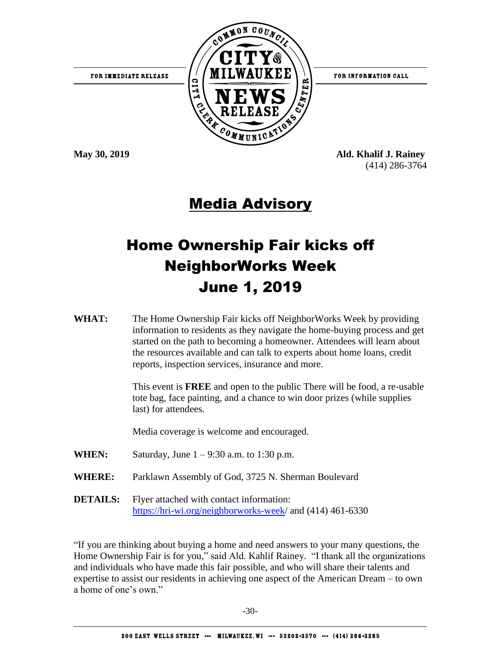

**May 30, 2019 Ald. Khalif J. Rainey** (414) 286-3764

## Media Advisory

# Home Ownership Fair kicks off NeighborWorks Week June 1, 2019

**WHAT:** The Home Ownership Fair kicks off NeighborWorks Week by providing information to residents as they navigate the home-buying process and get started on the path to becoming a homeowner. Attendees will learn about the resources available and can talk to experts about home loans, credit reports, inspection services, insurance and more.

> This event is **FREE** and open to the public There will be food, a re-usable tote bag, face painting, and a chance to win door prizes (while supplies last) for attendees.

Media coverage is welcome and encouraged.

- **WHEN:** Saturday, June 1 9:30 a.m. to 1:30 p.m.
- **WHERE:** Parklawn Assembly of God, 3725 N. Sherman Boulevard
- **DETAILS:** Flyer attached with contact information: [https://hri-wi.org/neighborworks-week/](https://hri-wi.org/neighborworks-week) and (414) 461-6330

"If you are thinking about buying a home and need answers to your many questions, the Home Ownership Fair is for you," said Ald. Kahlif Rainey. "I thank all the organizations and individuals who have made this fair possible, and who will share their talents and expertise to assist our residents in achieving one aspect of the American Dream – to own a home of one's own."